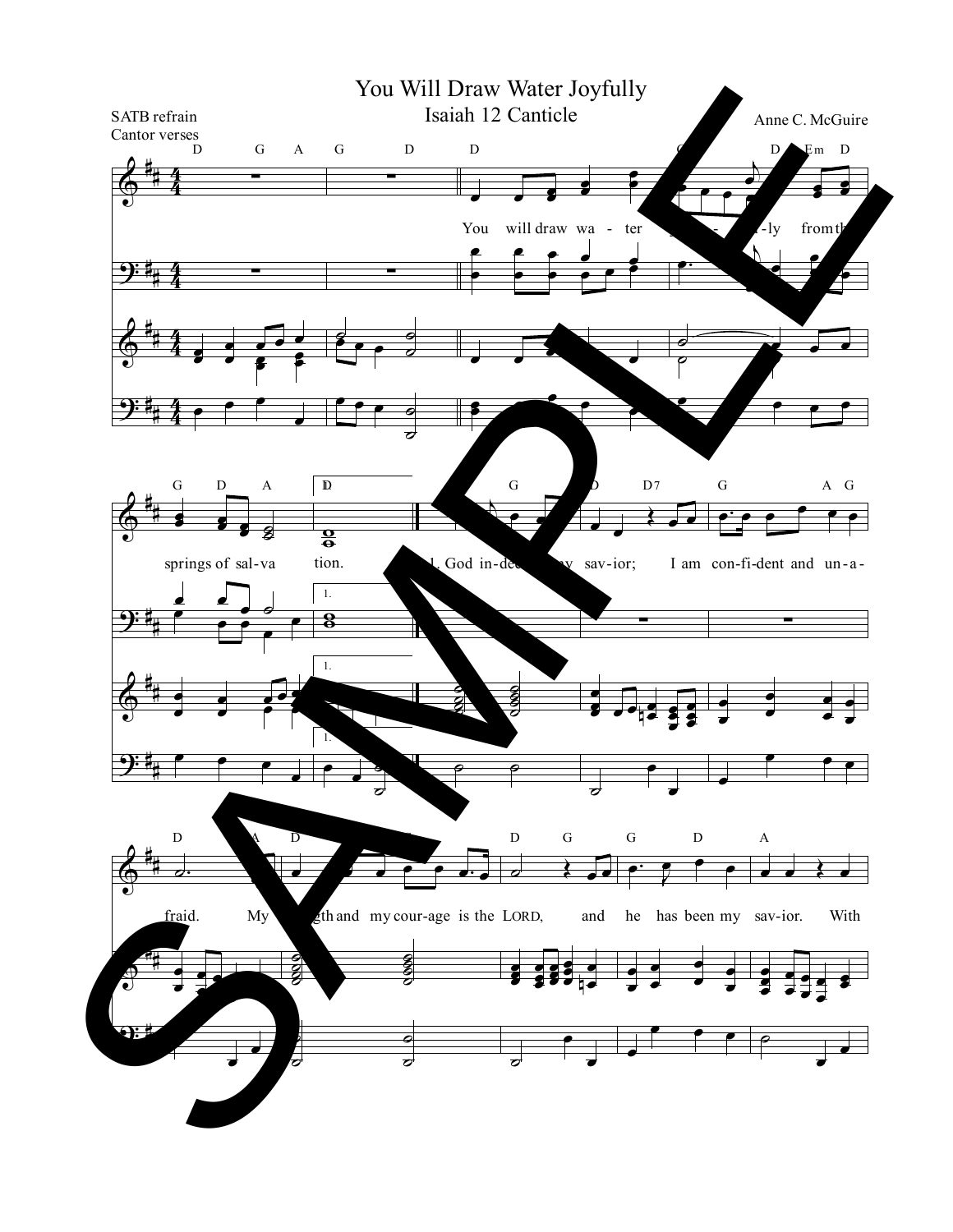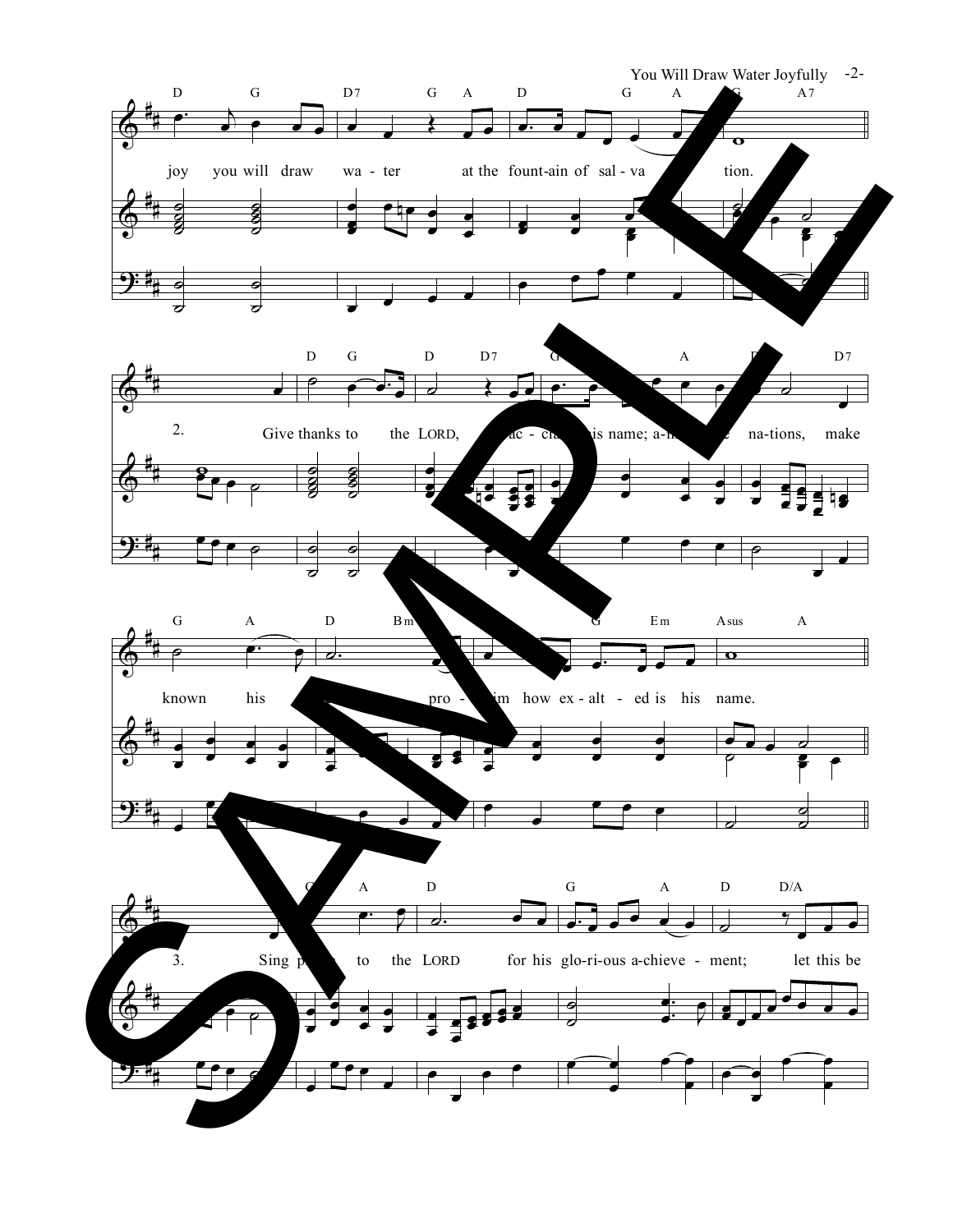